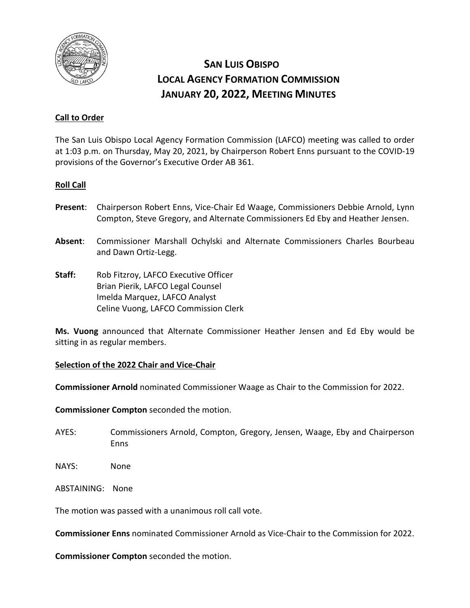

# **SAN LUIS OBISPO LOCAL AGENCY FORMATION COMMISSION JANUARY 20, 2022, MEETING MINUTES**

## **Call to Order**

The San Luis Obispo Local Agency Formation Commission (LAFCO) meeting was called to order at 1:03 p.m. on Thursday, May 20, 2021, by Chairperson Robert Enns pursuant to the COVID-19 provisions of the Governor's Executive Order AB 361.

## **Roll Call**

- **Present**: Chairperson Robert Enns, Vice-Chair Ed Waage, Commissioners Debbie Arnold, Lynn Compton, Steve Gregory, and Alternate Commissioners Ed Eby and Heather Jensen.
- **Absent**: Commissioner Marshall Ochylski and Alternate Commissioners Charles Bourbeau and Dawn Ortiz-Legg.
- **Staff:** Rob Fitzroy, LAFCO Executive Officer Brian Pierik, LAFCO Legal Counsel Imelda Marquez, LAFCO Analyst Celine Vuong, LAFCO Commission Clerk

**Ms. Vuong** announced that Alternate Commissioner Heather Jensen and Ed Eby would be sitting in as regular members.

## **Selection of the 2022 Chair and Vice-Chair**

**Commissioner Arnold** nominated Commissioner Waage as Chair to the Commission for 2022.

**Commissioner Compton** seconded the motion.

- AYES: Commissioners Arnold, Compton, Gregory, Jensen, Waage, Eby and Chairperson Enns
- NAYS: None
- ABSTAINING: None

The motion was passed with a unanimous roll call vote.

**Commissioner Enns** nominated Commissioner Arnold as Vice-Chair to the Commission for 2022.

**Commissioner Compton** seconded the motion.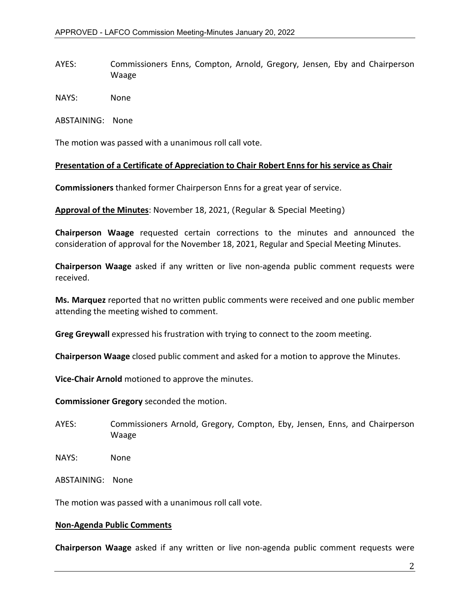AYES: Commissioners Enns, Compton, Arnold, Gregory, Jensen, Eby and Chairperson Waage

NAYS: None

ABSTAINING: None

The motion was passed with a unanimous roll call vote.

#### **Presentation of a Certificate of Appreciation to Chair Robert Enns for his service as Chair**

**Commissioners** thanked former Chairperson Enns for a great year of service.

**Approval of the Minutes**: November 18, 2021, (Regular & Special Meeting)

**Chairperson Waage** requested certain corrections to the minutes and announced the consideration of approval for the November 18, 2021, Regular and Special Meeting Minutes.

**Chairperson Waage** asked if any written or live non-agenda public comment requests were received.

**Ms. Marquez** reported that no written public comments were received and one public member attending the meeting wished to comment.

**Greg Greywall** expressed his frustration with trying to connect to the zoom meeting.

**Chairperson Waage** closed public comment and asked for a motion to approve the Minutes.

**Vice-Chair Arnold** motioned to approve the minutes.

**Commissioner Gregory** seconded the motion.

AYES: Commissioners Arnold, Gregory, Compton, Eby, Jensen, Enns, and Chairperson Waage

NAYS: None

ABSTAINING: None

The motion was passed with a unanimous roll call vote.

#### **Non-Agenda Public Comments**

**Chairperson Waage** asked if any written or live non-agenda public comment requests were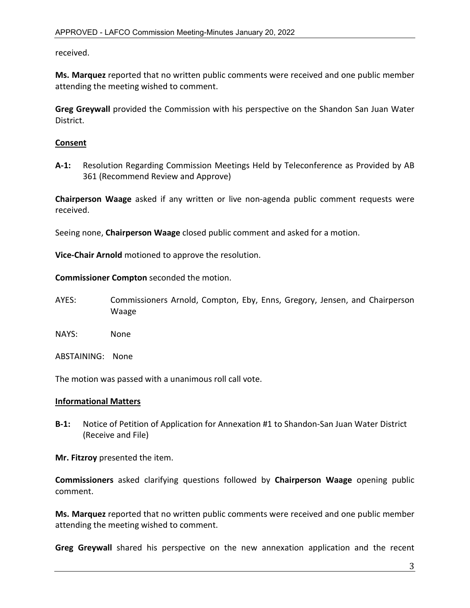received.

**Ms. Marquez** reported that no written public comments were received and one public member attending the meeting wished to comment.

**Greg Greywall** provided the Commission with his perspective on the Shandon San Juan Water District.

## **Consent**

**A-1:** Resolution Regarding Commission Meetings Held by Teleconference as Provided by AB 361 (Recommend Review and Approve)

**Chairperson Waage** asked if any written or live non-agenda public comment requests were received.

Seeing none, **Chairperson Waage** closed public comment and asked for a motion.

**Vice-Chair Arnold** motioned to approve the resolution.

**Commissioner Compton** seconded the motion.

- AYES: Commissioners Arnold, Compton, Eby, Enns, Gregory, Jensen, and Chairperson Waage
- NAYS: None
- ABSTAINING: None

The motion was passed with a unanimous roll call vote.

### **Informational Matters**

**B-1:** Notice of Petition of Application for Annexation #1 to Shandon-San Juan Water District (Receive and File)

**Mr. Fitzroy** presented the item.

**Commissioners** asked clarifying questions followed by **Chairperson Waage** opening public comment.

**Ms. Marquez** reported that no written public comments were received and one public member attending the meeting wished to comment.

**Greg Greywall** shared his perspective on the new annexation application and the recent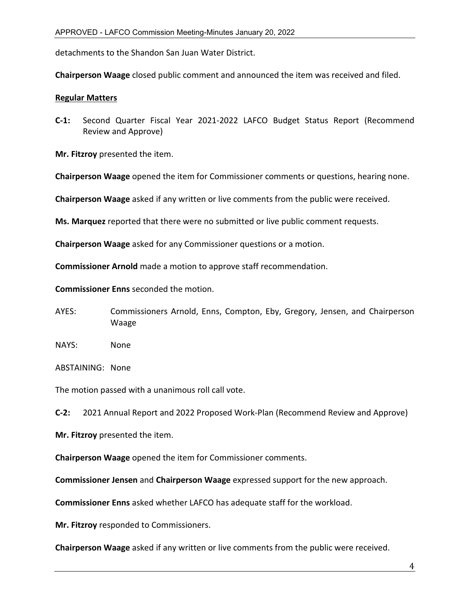detachments to the Shandon San Juan Water District.

**Chairperson Waage** closed public comment and announced the item was received and filed.

#### **Regular Matters**

**C-1:** Second Quarter Fiscal Year 2021-2022 LAFCO Budget Status Report (Recommend Review and Approve)

**Mr. Fitzroy** presented the item.

**Chairperson Waage** opened the item for Commissioner comments or questions, hearing none.

**Chairperson Waage** asked if any written or live comments from the public were received.

**Ms. Marquez** reported that there were no submitted or live public comment requests.

**Chairperson Waage** asked for any Commissioner questions or a motion.

**Commissioner Arnold** made a motion to approve staff recommendation.

**Commissioner Enns** seconded the motion.

- AYES: Commissioners Arnold, Enns, Compton, Eby, Gregory, Jensen, and Chairperson Waage
- NAYS: None

ABSTAINING: None

The motion passed with a unanimous roll call vote.

**C-2:** 2021 Annual Report and 2022 Proposed Work-Plan (Recommend Review and Approve)

**Mr. Fitzroy** presented the item.

**Chairperson Waage** opened the item for Commissioner comments.

**Commissioner Jensen** and **Chairperson Waage** expressed support for the new approach.

**Commissioner Enns** asked whether LAFCO has adequate staff for the workload.

**Mr. Fitzroy** responded to Commissioners.

**Chairperson Waage** asked if any written or live comments from the public were received.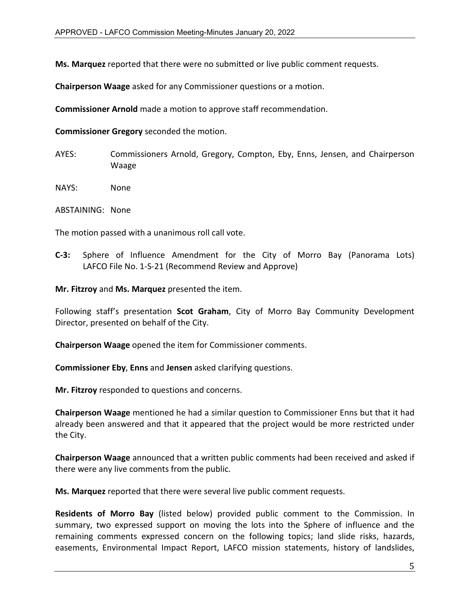**Ms. Marquez** reported that there were no submitted or live public comment requests.

**Chairperson Waage** asked for any Commissioner questions or a motion.

**Commissioner Arnold** made a motion to approve staff recommendation.

**Commissioner Gregory** seconded the motion.

AYES: Commissioners Arnold, Gregory, Compton, Eby, Enns, Jensen, and Chairperson Waage

NAYS: None

ABSTAINING: None

The motion passed with a unanimous roll call vote.

**C-3:** Sphere of Influence Amendment for the City of Morro Bay (Panorama Lots) LAFCO File No. 1-S-21 (Recommend Review and Approve)

**Mr. Fitzroy** and **Ms. Marquez** presented the item.

Following staff's presentation **Scot Graham**, City of Morro Bay Community Development Director, presented on behalf of the City.

**Chairperson Waage** opened the item for Commissioner comments.

**Commissioner Eby**, **Enns** and **Jensen** asked clarifying questions.

**Mr. Fitzroy** responded to questions and concerns.

**Chairperson Waage** mentioned he had a similar question to Commissioner Enns but that it had already been answered and that it appeared that the project would be more restricted under the City.

**Chairperson Waage** announced that a written public comments had been received and asked if there were any live comments from the public.

**Ms. Marquez** reported that there were several live public comment requests.

**Residents of Morro Bay** (listed below) provided public comment to the Commission. In summary, two expressed support on moving the lots into the Sphere of influence and the remaining comments expressed concern on the following topics; land slide risks, hazards, easements, Environmental Impact Report, LAFCO mission statements, history of landslides,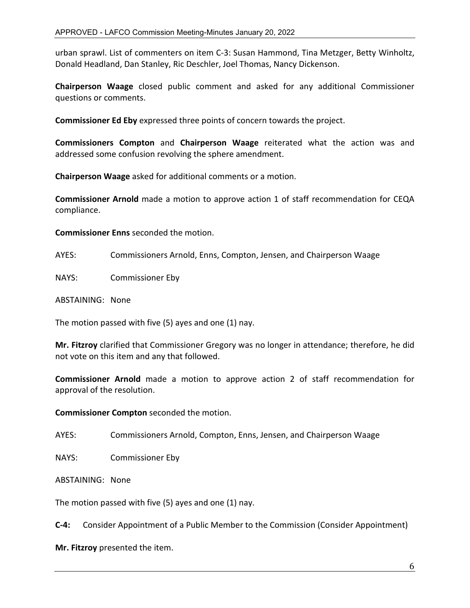urban sprawl. List of commenters on item C-3: Susan Hammond, Tina Metzger, Betty Winholtz, Donald Headland, Dan Stanley, Ric Deschler, Joel Thomas, Nancy Dickenson.

**Chairperson Waage** closed public comment and asked for any additional Commissioner questions or comments.

**Commissioner Ed Eby** expressed three points of concern towards the project.

**Commissioners Compton** and **Chairperson Waage** reiterated what the action was and addressed some confusion revolving the sphere amendment.

**Chairperson Waage** asked for additional comments or a motion.

**Commissioner Arnold** made a motion to approve action 1 of staff recommendation for CEQA compliance.

**Commissioner Enns** seconded the motion.

AYES: Commissioners Arnold, Enns, Compton, Jensen, and Chairperson Waage

NAYS: Commissioner Eby

ABSTAINING: None

The motion passed with five (5) ayes and one (1) nay.

**Mr. Fitzroy** clarified that Commissioner Gregory was no longer in attendance; therefore, he did not vote on this item and any that followed.

**Commissioner Arnold** made a motion to approve action 2 of staff recommendation for approval of the resolution.

**Commissioner Compton** seconded the motion.

AYES: Commissioners Arnold, Compton, Enns, Jensen, and Chairperson Waage

NAYS: Commissioner Eby

ABSTAINING: None

The motion passed with five (5) ayes and one (1) nay.

**C-4:** Consider Appointment of a Public Member to the Commission (Consider Appointment)

**Mr. Fitzroy** presented the item.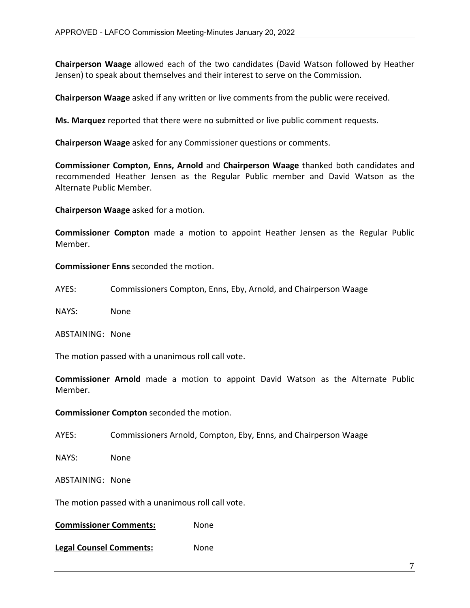**Chairperson Waage** allowed each of the two candidates (David Watson followed by Heather Jensen) to speak about themselves and their interest to serve on the Commission.

**Chairperson Waage** asked if any written or live comments from the public were received.

**Ms. Marquez** reported that there were no submitted or live public comment requests.

**Chairperson Waage** asked for any Commissioner questions or comments.

**Commissioner Compton, Enns, Arnold** and **Chairperson Waage** thanked both candidates and recommended Heather Jensen as the Regular Public member and David Watson as the Alternate Public Member.

**Chairperson Waage** asked for a motion.

**Commissioner Compton** made a motion to appoint Heather Jensen as the Regular Public Member.

**Commissioner Enns** seconded the motion.

AYES: Commissioners Compton, Enns, Eby, Arnold, and Chairperson Waage

NAYS: None

ABSTAINING: None

The motion passed with a unanimous roll call vote.

**Commissioner Arnold** made a motion to appoint David Watson as the Alternate Public Member.

**Commissioner Compton** seconded the motion.

AYES: Commissioners Arnold, Compton, Eby, Enns, and Chairperson Waage

NAYS: None

ABSTAINING: None

The motion passed with a unanimous roll call vote.

**Commissioner Comments:** None

**Legal Counsel Comments:** None